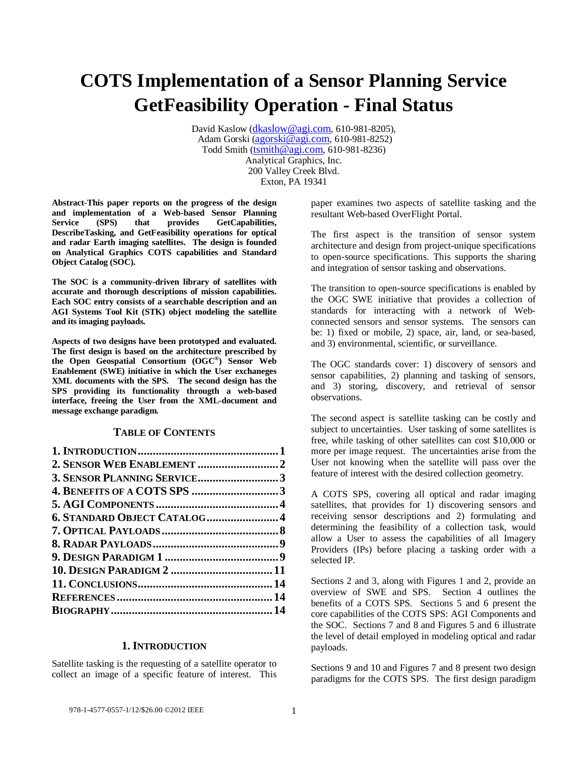# **COTS Implementation of a Sensor Planning Service GetFeasibility Operation - Final Status**

David Kaslow [\(dkaslow@agi.com,](mailto:dkaslow@agi.com) 610-981-8205), Adam Gorski [\(agorski@agi.com,](mailto:agorski@agi.com) 610-981-8252) Todd Smith [\(tsmith@agi.com,](mailto:tsmith@agi.com) 610-981-8236) Analytical Graphics, Inc. 200 Valley Creek Blvd. Exton, PA 19341

**Abstract-This paper reports on the progress of the design and implementation of a Web-based Sensor Planning Service (SPS) that provides GetCapabilities, DescribeTasking, and GetFeasibility operations for optical and radar Earth imaging satellites. The design is founded on Analytical Graphics COTS capabilities and Standard Object Catalog (SOC).**

**The SOC is a community-driven library of satellites with accurate and thorough descriptions of mission capabilities. Each SOC entry consists of a searchable description and an AGI Systems Tool Kit (STK) object modeling the satellite and its imaging payloads.**

**Aspects of two designs have been prototyped and evaluated. The first design is based on the architecture prescribed by the Open Geospatial Consortium (OGC®) Sensor Web Enablement (SWE) initiative in which the User exchaneges XML documents with the SPS. The second design has the SPS providing its functionality througth a web-based interface, freeing the User from the XML-document and message exchange paradigm.** 

#### **TABLE OF CONTENTS**

| 3. SENSOR PLANNING SERVICE3  |  |
|------------------------------|--|
|                              |  |
|                              |  |
| 6. STANDARD OBJECT CATALOG 4 |  |
|                              |  |
|                              |  |
|                              |  |
|                              |  |
|                              |  |
|                              |  |
|                              |  |

#### **1. INTRODUCTION**

<span id="page-0-0"></span>Satellite tasking is the requesting of a satellite operator to collect an image of a specific feature of interest. This paper examines two aspects of satellite tasking and the resultant Web-based OverFlight Portal.

The first aspect is the transition of sensor system architecture and design from project-unique specifications to open-source specifications. This supports the sharing and integration of sensor tasking and observations.

The transition to open-source specifications is enabled by the OGC SWE initiative that provides a collection of standards for interacting with a network of Webconnected sensors and sensor systems. The sensors can be: 1) fixed or mobile, 2) space, air, land, or sea-based, and 3) environmental, scientific, or surveillance.

The OGC standards cover: 1) discovery of sensors and sensor capabilities, 2) planning and tasking of sensors, and 3) storing, discovery, and retrieval of sensor observations.

The second aspect is satellite tasking can be costly and subject to uncertainties. User tasking of some satellites is free, while tasking of other satellites can cost \$10,000 or more per image request. The uncertainties arise from the User not knowing when the satellite will pass over the feature of interest with the desired collection geometry.

A COTS SPS, covering all optical and radar imaging satellites, that provides for 1) discovering sensors and receiving sensor descriptions and 2) formulating and determining the feasibility of a collection task, would allow a User to assess the capabilities of all Imagery Providers (IPs) before placing a tasking order with a selected IP.

Sections 2 and 3, along with Figures 1 and 2, provide an overview of SWE and SPS. Section 4 outlines the benefits of a COTS SPS. Sections 5 and 6 present the core capabilities of the COTS SPS: AGI Components and the SOC. Sections 7 and 8 and Figures 5 and 6 illustrate the level of detail employed in modeling optical and radar payloads.

Sections 9 and 10 and Figures 7 and 8 present two design paradigms for the COTS SPS. The first design paradigm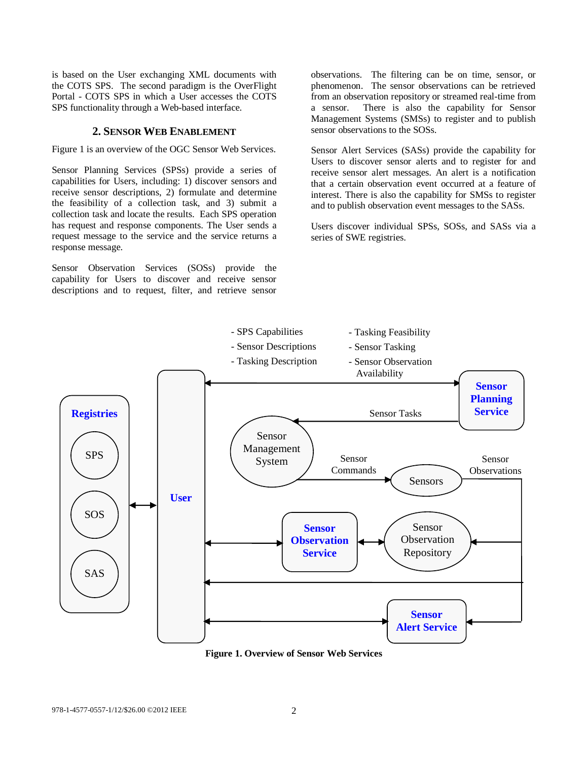is based on the User exchanging XML documents with the COTS SPS. The second paradigm is the OverFlight Portal - COTS SPS in which a User accesses the COTS SPS functionality through a Web-based interface.

#### **2. SENSOR WEB ENABLEMENT**

<span id="page-1-0"></span>Figure 1 is an overview of the OGC Sensor Web Services.

Sensor Planning Services (SPSs) provide a series of capabilities for Users, including: 1) discover sensors and receive sensor descriptions, 2) formulate and determine the feasibility of a collection task, and 3) submit a collection task and locate the results. Each SPS operation has request and response components. The User sends a request message to the service and the service returns a response message.

Sensor Observation Services (SOSs) provide the capability for Users to discover and receive sensor descriptions and to request, filter, and retrieve sensor

observations. The filtering can be on time, sensor, or phenomenon. The sensor observations can be retrieved from an observation repository or streamed real-time from a sensor. There is also the capability for Sensor Management Systems (SMSs) to register and to publish sensor observations to the SOSs.

Sensor Alert Services (SASs) provide the capability for Users to discover sensor alerts and to register for and receive sensor alert messages. An alert is a notification that a certain observation event occurred at a feature of interest. There is also the capability for SMSs to register and to publish observation event messages to the SASs.

Users discover individual SPSs, SOSs, and SASs via a series of SWE registries.



**Figure 1. Overview of Sensor Web Services**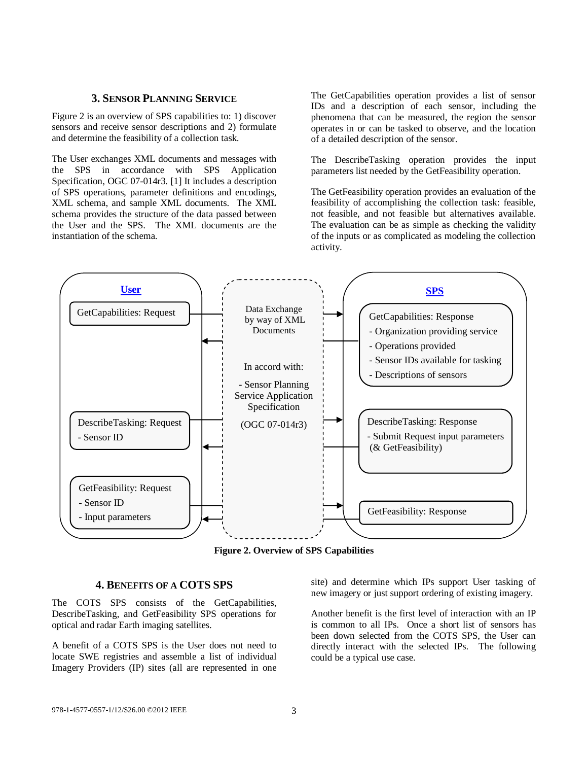#### **3. SENSOR PLANNING SERVICE**

<span id="page-2-0"></span>Figure 2 is an overview of SPS capabilities to: 1) discover sensors and receive sensor descriptions and 2) formulate and determine the feasibility of a collection task.

The User exchanges XML documents and messages with the SPS in accordance with SPS Application Specification, OGC 07-014r3. [1] It includes a description of SPS operations, parameter definitions and encodings, XML schema, and sample XML documents. The XML schema provides the structure of the data passed between the User and the SPS. The XML documents are the instantiation of the schema.

The GetCapabilities operation provides a list of sensor IDs and a description of each sensor, including the phenomena that can be measured, the region the sensor operates in or can be tasked to observe, and the location of a detailed description of the sensor.

The DescribeTasking operation provides the input parameters list needed by the GetFeasibility operation.

The GetFeasibility operation provides an evaluation of the feasibility of accomplishing the collection task: feasible, not feasible, and not feasible but alternatives available. The evaluation can be as simple as checking the validity of the inputs or as complicated as modeling the collection activity.



**Figure 2. Overview of SPS Capabilities**

### **4. BENEFITS OF A COTS SPS**

<span id="page-2-1"></span>The COTS SPS consists of the GetCapabilities, DescribeTasking, and GetFeasibility SPS operations for optical and radar Earth imaging satellites.

A benefit of a COTS SPS is the User does not need to locate SWE registries and assemble a list of individual Imagery Providers (IP) sites (all are represented in one site) and determine which IPs support User tasking of new imagery or just support ordering of existing imagery.

Another benefit is the first level of interaction with an IP is common to all IPs. Once a short list of sensors has been down selected from the COTS SPS, the User can directly interact with the selected IPs. The following could be a typical use case.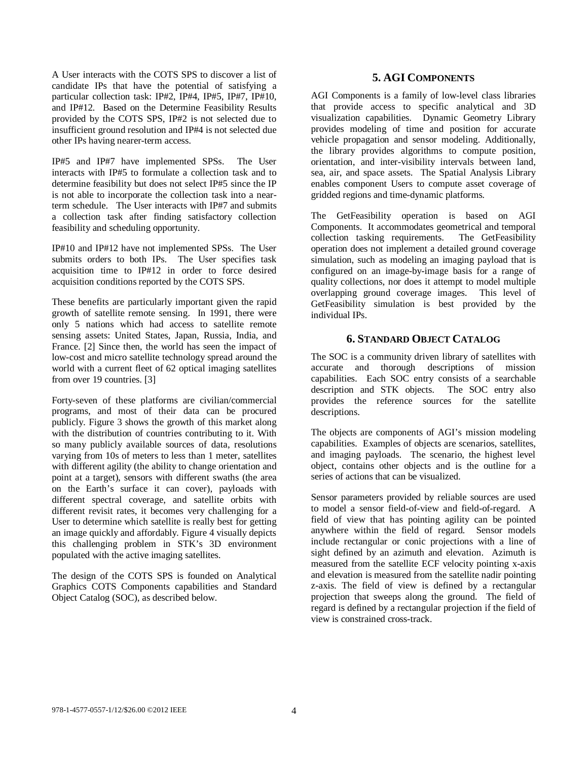A User interacts with the COTS SPS to discover a list of candidate IPs that have the potential of satisfying a particular collection task: IP#2, IP#4, IP#5, IP#7, IP#10, and IP#12. Based on the Determine Feasibility Results provided by the COTS SPS, IP#2 is not selected due to insufficient ground resolution and IP#4 is not selected due other IPs having nearer-term access.

IP#5 and IP#7 have implemented SPSs. The User interacts with IP#5 to formulate a collection task and to determine feasibility but does not select IP#5 since the IP is not able to incorporate the collection task into a nearterm schedule. The User interacts with IP#7 and submits a collection task after finding satisfactory collection feasibility and scheduling opportunity.

IP#10 and IP#12 have not implemented SPSs. The User submits orders to both IPs. The User specifies task acquisition time to IP#12 in order to force desired acquisition conditions reported by the COTS SPS.

These benefits are particularly important given the rapid growth of satellite remote sensing. In 1991, there were only 5 nations which had access to satellite remote sensing assets: United States, Japan, Russia, India, and France. [2] Since then, the world has seen the impact of low-cost and micro satellite technology spread around the world with a current fleet of 62 optical imaging satellites from over 19 countries. [3]

Forty-seven of these platforms are civilian/commercial programs, and most of their data can be procured publicly. Figure 3 shows the growth of this market along with the distribution of countries contributing to it. With so many publicly available sources of data, resolutions varying from 10s of meters to less than 1 meter, satellites with different agility (the ability to change orientation and point at a target), sensors with different swaths (the area on the Earth's surface it can cover), payloads with different spectral coverage, and satellite orbits with different revisit rates, it becomes very challenging for a User to determine which satellite is really best for getting an image quickly and affordably. Figure 4 visually depicts this challenging problem in STK's 3D environment populated with the active imaging satellites.

The design of the COTS SPS is founded on Analytical Graphics COTS Components capabilities and Standard Object Catalog (SOC), as described below.

## **5. AGI COMPONENTS**

<span id="page-3-0"></span>AGI Components is a family of low-level class libraries that provide access to specific analytical and 3D visualization capabilities. Dynamic Geometry Library provides modeling of time and position for accurate vehicle propagation and sensor modeling. Additionally, the library provides algorithms to compute position, orientation, and inter-visibility intervals between land, sea, air, and space assets. The Spatial Analysis Library enables component Users to compute asset coverage of gridded regions and time-dynamic platforms.

The GetFeasibility operation is based on AGI Components. It accommodates geometrical and temporal collection tasking requirements. The GetFeasibility operation does not implement a detailed ground coverage simulation, such as modeling an imaging payload that is configured on an image-by-image basis for a range of quality collections, nor does it attempt to model multiple overlapping ground coverage images. This level of GetFeasibility simulation is best provided by the individual IPs.

## **6. STANDARD OBJECT CATALOG**

<span id="page-3-1"></span>The SOC is a community driven library of satellites with accurate and thorough descriptions of mission capabilities. Each SOC entry consists of a searchable description and STK objects. The SOC entry also provides the reference sources for the satellite descriptions.

The objects are components of AGI's mission modeling capabilities. Examples of objects are scenarios, satellites, and imaging payloads. The scenario, the highest level object, contains other objects and is the outline for a series of actions that can be visualized.

Sensor parameters provided by reliable sources are used to model a sensor field-of-view and field-of-regard. A field of view that has pointing agility can be pointed anywhere within the field of regard. Sensor models include rectangular or conic projections with a line of sight defined by an azimuth and elevation. Azimuth is measured from the satellite ECF velocity pointing x-axis and elevation is measured from the satellite nadir pointing z-axis. The field of view is defined by a rectangular projection that sweeps along the ground. The field of regard is defined by a rectangular projection if the field of view is constrained cross-track.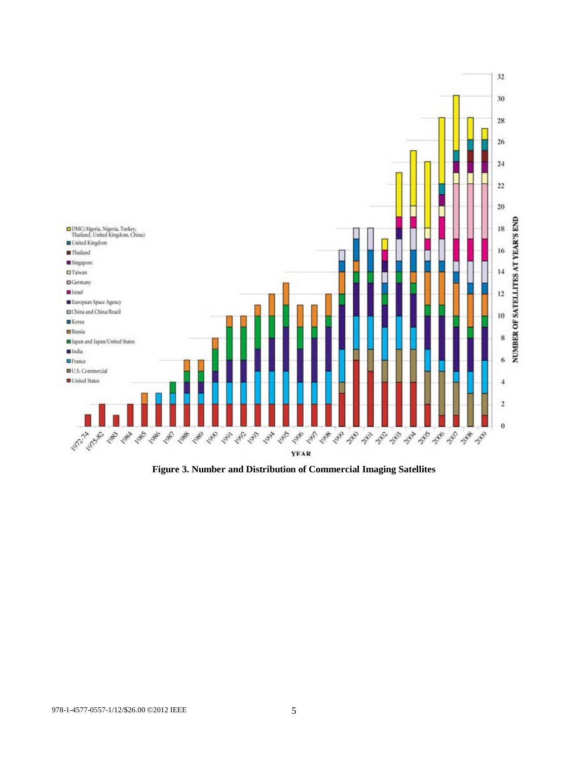

**Figure 3. Number and Distribution of Commercial Imaging Satellites**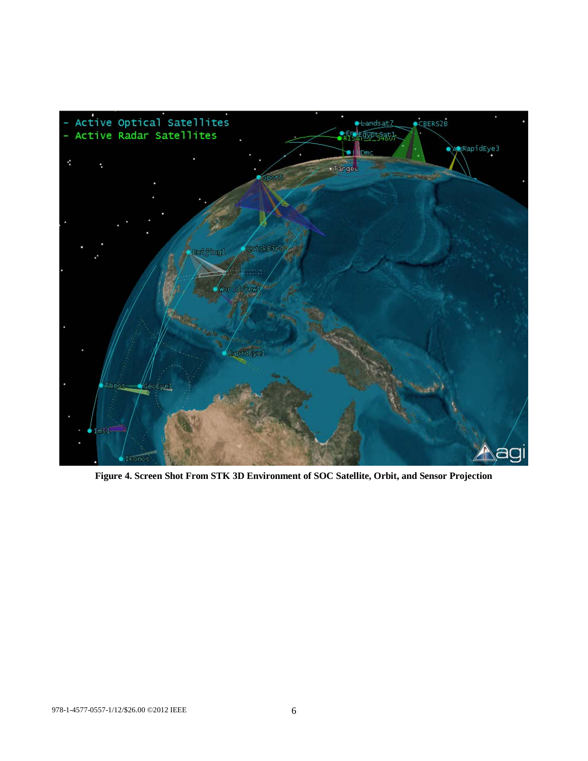

**Figure 4. Screen Shot From STK 3D Environment of SOC Satellite, Orbit, and Sensor Projection**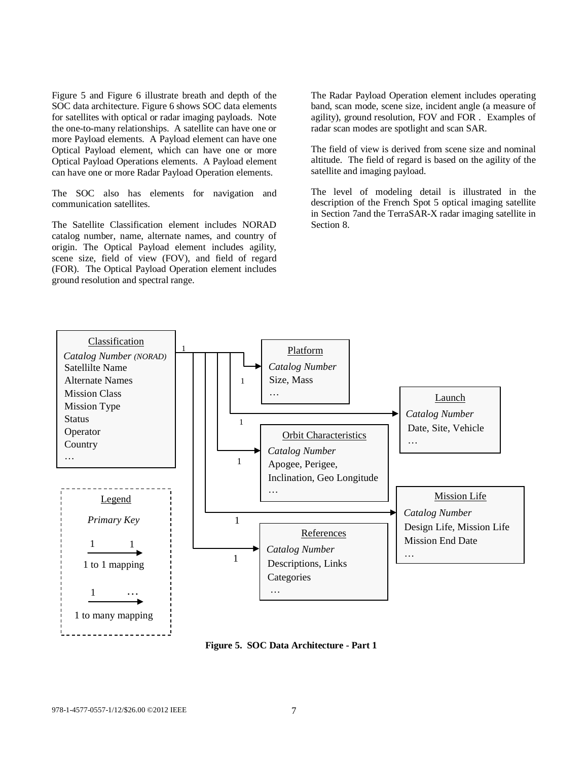Figure 5 and Figure 6 illustrate breath and depth of the SOC data architecture. Figure 6 shows SOC data elements for satellites with optical or radar imaging payloads. Note the one-to-many relationships. A satellite can have one or more Payload elements. A Payload element can have one Optical Payload element, which can have one or more Optical Payload Operations elements. A Payload element can have one or more Radar Payload Operation elements.

The SOC also has elements for navigation and communication satellites.

The Satellite Classification element includes NORAD catalog number, name, alternate names, and country of origin. The Optical Payload element includes agility, scene size, field of view (FOV), and field of regard (FOR). The Optical Payload Operation element includes ground resolution and spectral range.

The Radar Payload Operation element includes operating band, scan mode, scene size, incident angle (a measure of agility), ground resolution, FOV and FOR . Examples of radar scan modes are spotlight and scan SAR.

The field of view is derived from scene size and nominal altitude. The field of regard is based on the agility of the satellite and imaging payload.

The level of modeling detail is illustrated in the description of the French Spot 5 optical imaging satellite in Section 7and the TerraSAR-X radar imaging satellite in Section 8.



**Figure 5. SOC Data Architecture - Part 1**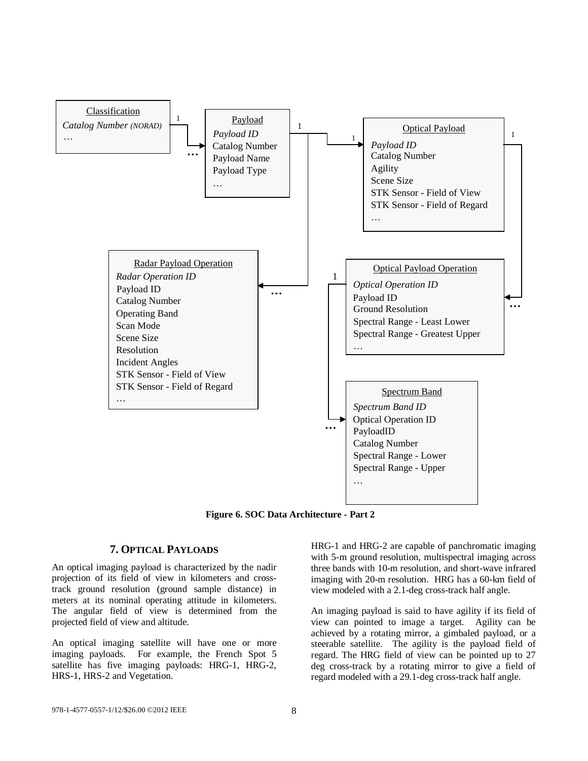

**Figure 6. SOC Data Architecture - Part 2**

## **7. OPTICAL PAYLOADS**

<span id="page-7-0"></span>An optical imaging payload is characterized by the nadir projection of its field of view in kilometers and crosstrack ground resolution (ground sample distance) in meters at its nominal operating attitude in kilometers. The angular field of view is determined from the projected field of view and altitude.

An optical imaging satellite will have one or more imaging payloads. For example, the French Spot 5 satellite has five imaging payloads: HRG-1, HRG-2, HRS-1, HRS-2 and Vegetation.

HRG-1 and HRG-2 are capable of panchromatic imaging with 5-m ground resolution, multispectral imaging across three bands with 10-m resolution, and short-wave infrared imaging with 20-m resolution. HRG has a 60-km field of view modeled with a 2.1-deg cross-track half angle.

An imaging payload is said to have agility if its field of view can pointed to image a target. Agility can be achieved by a rotating mirror, a gimbaled payload, or a steerable satellite. The agility is the payload field of regard. The HRG field of view can be pointed up to 27 deg cross-track by a rotating mirror to give a field of regard modeled with a 29.1-deg cross-track half angle.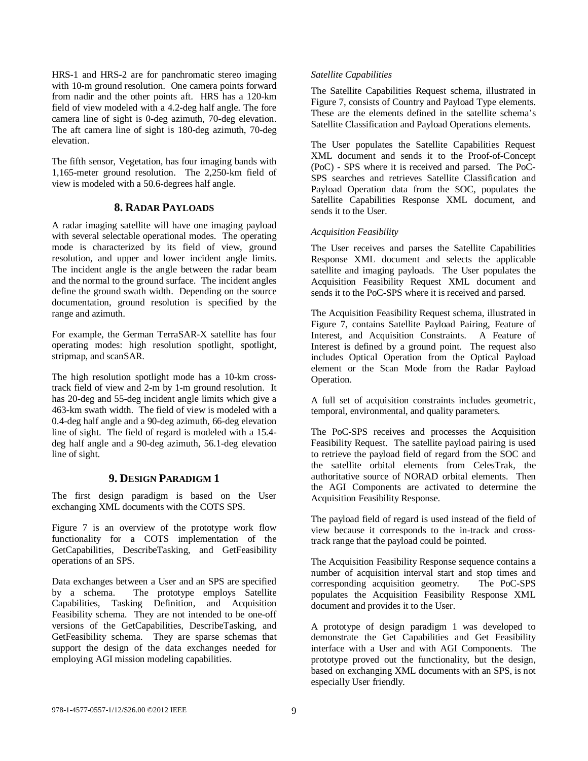HRS-1 and HRS-2 are for panchromatic stereo imaging with 10-m ground resolution. One camera points forward from nadir and the other points aft. HRS has a 120-km field of view modeled with a 4.2-deg half angle. The fore camera line of sight is 0-deg azimuth, 70-deg elevation. The aft camera line of sight is 180-deg azimuth, 70-deg elevation.

The fifth sensor, Vegetation, has four imaging bands with 1,165-meter ground resolution. The 2,250-km field of view is modeled with a 50.6-degrees half angle.

## **8. RADAR PAYLOADS**

<span id="page-8-0"></span>A radar imaging satellite will have one imaging payload with several selectable operational modes. The operating mode is characterized by its field of view, ground resolution, and upper and lower incident angle limits. The incident angle is the angle between the radar beam and the normal to the ground surface. The incident angles define the ground swath width. Depending on the source documentation, ground resolution is specified by the range and azimuth.

For example, the German TerraSAR-X satellite has four operating modes: high resolution spotlight, spotlight, stripmap, and scanSAR.

The high resolution spotlight mode has a 10-km crosstrack field of view and 2-m by 1-m ground resolution. It has 20-deg and 55-deg incident angle limits which give a 463-km swath width. The field of view is modeled with a 0.4-deg half angle and a 90-deg azimuth, 66-deg elevation line of sight. The field of regard is modeled with a 15.4 deg half angle and a 90-deg azimuth, 56.1-deg elevation line of sight.

## **9. DESIGN PARADIGM 1**

<span id="page-8-1"></span>The first design paradigm is based on the User exchanging XML documents with the COTS SPS.

Figure 7 is an overview of the prototype work flow functionality for a COTS implementation of the GetCapabilities, DescribeTasking, and GetFeasibility operations of an SPS.

Data exchanges between a User and an SPS are specified by a schema. The prototype employs Satellite Capabilities, Tasking Definition, and Acquisition Feasibility schema. They are not intended to be one-off versions of the GetCapabilities, DescribeTasking, and GetFeasibility schema. They are sparse schemas that support the design of the data exchanges needed for employing AGI mission modeling capabilities.

#### *Satellite Capabilities*

The Satellite Capabilities Request schema, illustrated in Figure 7, consists of Country and Payload Type elements. These are the elements defined in the satellite schema's Satellite Classification and Payload Operations elements.

The User populates the Satellite Capabilities Request XML document and sends it to the Proof-of-Concept (PoC) - SPS where it is received and parsed. The PoC-SPS searches and retrieves Satellite Classification and Payload Operation data from the SOC, populates the Satellite Capabilities Response XML document, and sends it to the User.

#### *Acquisition Feasibility*

The User receives and parses the Satellite Capabilities Response XML document and selects the applicable satellite and imaging payloads. The User populates the Acquisition Feasibility Request XML document and sends it to the PoC-SPS where it is received and parsed.

The Acquisition Feasibility Request schema, illustrated in Figure 7, contains Satellite Payload Pairing, Feature of Interest, and Acquisition Constraints. A Feature of Interest is defined by a ground point. The request also includes Optical Operation from the Optical Payload element or the Scan Mode from the Radar Payload Operation.

A full set of acquisition constraints includes geometric, temporal, environmental, and quality parameters.

The PoC-SPS receives and processes the Acquisition Feasibility Request. The satellite payload pairing is used to retrieve the payload field of regard from the SOC and the satellite orbital elements from CelesTrak, the authoritative source of NORAD orbital elements. Then the AGI Components are activated to determine the Acquisition Feasibility Response.

The payload field of regard is used instead of the field of view because it corresponds to the in-track and crosstrack range that the payload could be pointed.

The Acquisition Feasibility Response sequence contains a number of acquisition interval start and stop times and corresponding acquisition geometry. The PoC-SPS populates the Acquisition Feasibility Response XML document and provides it to the User.

A prototype of design paradigm 1 was developed to demonstrate the Get Capabilities and Get Feasibility interface with a User and with AGI Components. The prototype proved out the functionality, but the design, based on exchanging XML documents with an SPS, is not especially User friendly.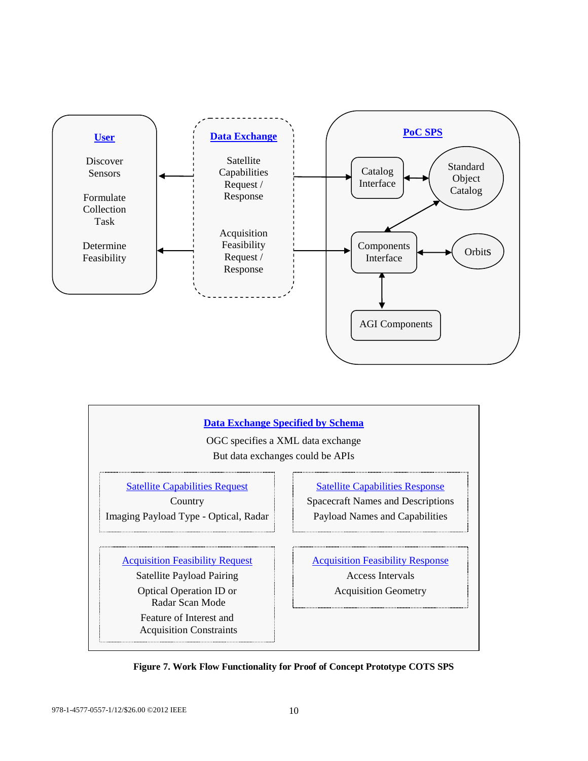



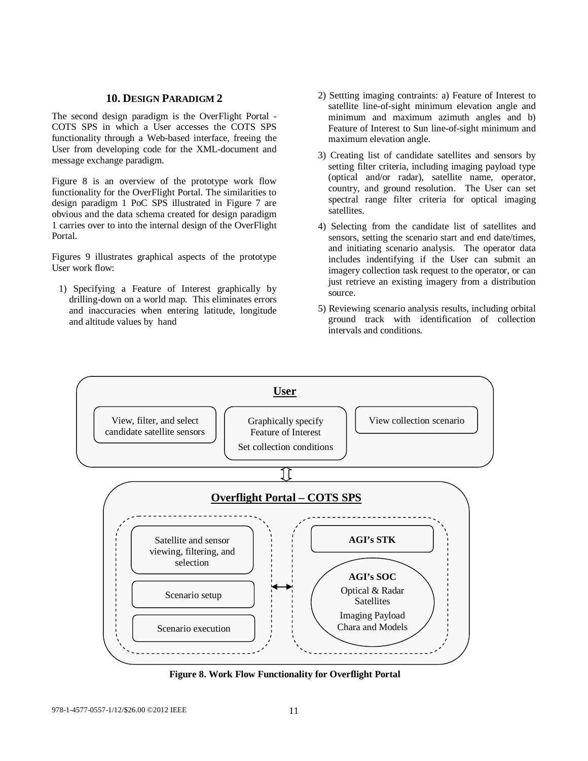#### **10. DESIGN PARADIGM 2**

<span id="page-10-0"></span>The second design paradigm is the OverFlight Portal - COTS SPS in which a User accesses the COTS SPS functionality through a Web-based interface, freeing the User from developing code for the XML-document and message exchange paradigm.

Figure 8 is an overview of the prototype work flow functionality for the OverFlight Portal. The similarities to design paradigm 1 PoC SPS illustrated in Figure 7 are obvious and the data schema created for design paradigm 1 carries over to into the internal design of the OverFlight Portal.

Figures 9 illustrates graphical aspects of the prototype User work flow:

1) Specifying a Feature of Interest graphically by drilling-down on a world map. This eliminates errors and inaccuracies when entering latitude, longitude and altitude values by hand

- 2) Settting imaging contraints: a) Feature of Interest to satellite line-of-sight minimum elevation angle and minimum and maximum azimuth angles and b) Feature of Interest to Sun line-of-sight minimum and maximum elevation angle.
- 3) Creating list of candidate satellites and sensors by setting filter criteria, including imaging payload type (optical and/or radar), satellite name, operator, country, and ground resolution. The User can set spectral range filter criteria for optical imaging satellites.
- 4) Selecting from the candidate list of satellites and sensors, setting the scenario start and end date/times, and initiating scenario analysis. The operator data includes indentifying if the User can submit an imagery collection task request to the operator, or can just retrieve an existing imagery from a distribution source.
- 5) Reviewing scenario analysis results, including orbital ground track with identification of collection intervals and conditions.



**Figure 8. Work Flow Functionality for Overflight Portal**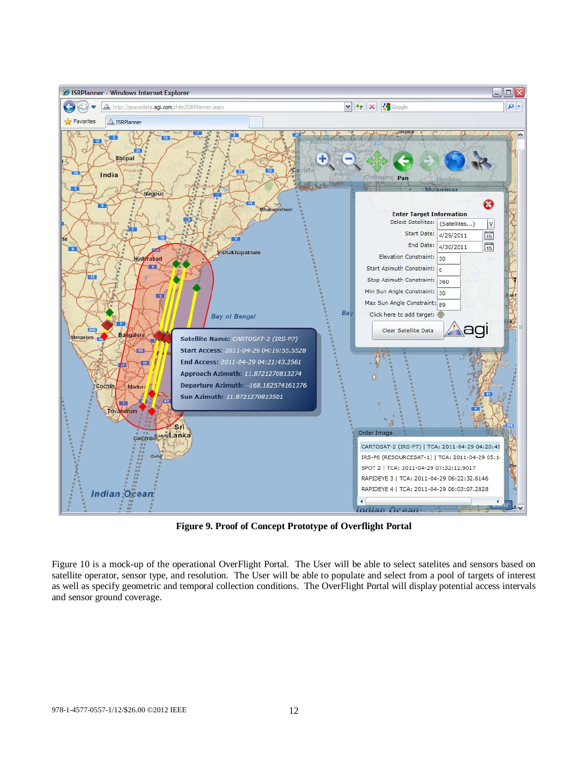

**Figure 9. Proof of Concept Prototype of Overflight Portal**

Figure 10 is a mock-up of the operational OverFlight Portal. The User will be able to select satelites and sensors based on satellite operator, sensor type, and resolution. The User will be able to populate and select from a pool of targets of interest as well as specify geometric and temporal collection conditions. The OverFlight Portal will display potential access intervals and sensor ground coverage.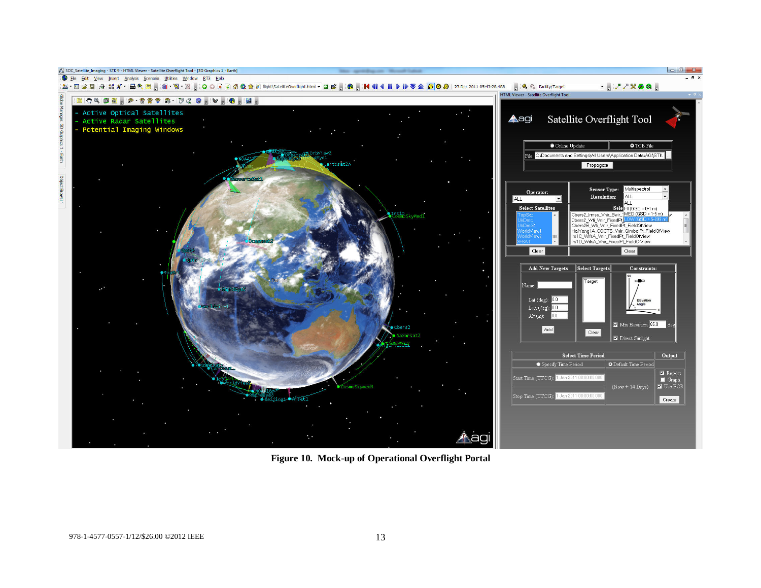

**Figure 10. Mock-up of Operational Overflight Portal**